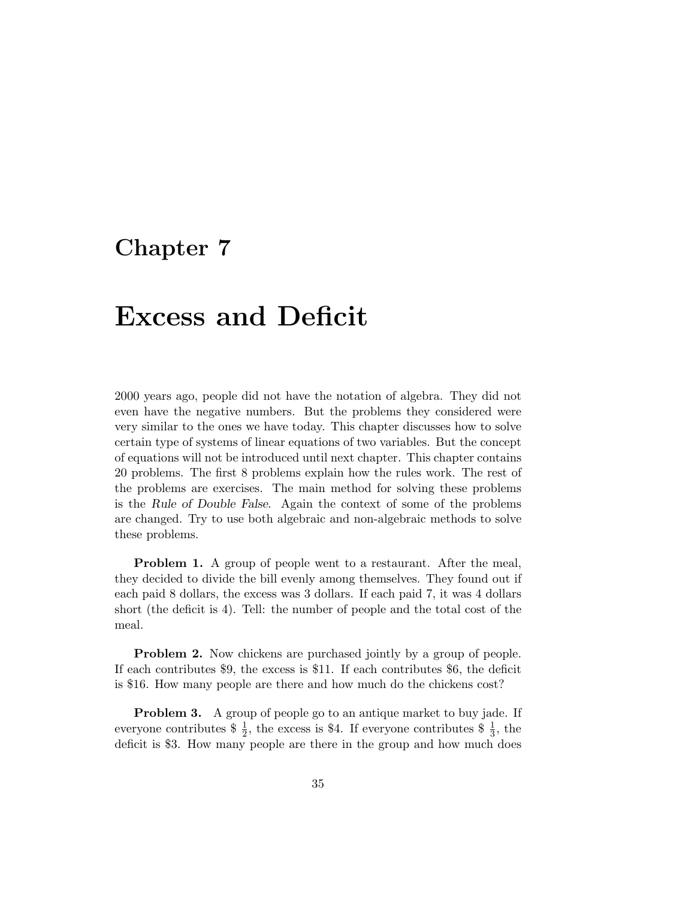## **Chapter 7**

## **Excess and Deficit**

2000 years ago, people did not have the notation of algebra. They did not even have the negative numbers. But the problems they considered were very similar to the ones we have today. This chapter discusses how to solve certain type of systems of linear equations of two variables. But the concept of equations will not be introduced until next chapter. This chapter contains 20 problems. The first 8 problems explain how the rules work. The rest of the problems are exercises. The main method for solving these problems is the *Rule of Double False.* Again the context of some of the problems are changed. Try to use both algebraic and non-algebraic methods to solve these problems.

**Problem 1.** A group of people went to a restaurant. After the meal, they decided to divide the bill evenly among themselves. They found out if each paid 8 dollars, the excess was 3 dollars. If each paid 7, it was 4 dollars short (the deficit is 4). Tell: the number of people and the total cost of the meal.

**Problem 2.** Now chickens are purchased jointly by a group of people. If each contributes \$9, the excess is \$11. If each contributes \$6, the deficit is \$16. How many people are there and how much do the chickens cost?

**Problem 3.** A group of people go to an antique market to buy jade. If everyone contributes  $\frac{1}{2}$ , the excess is \$4. If everyone contributes  $\frac{1}{3}$ , the deficit is \$3. How many people are there in the group and how much does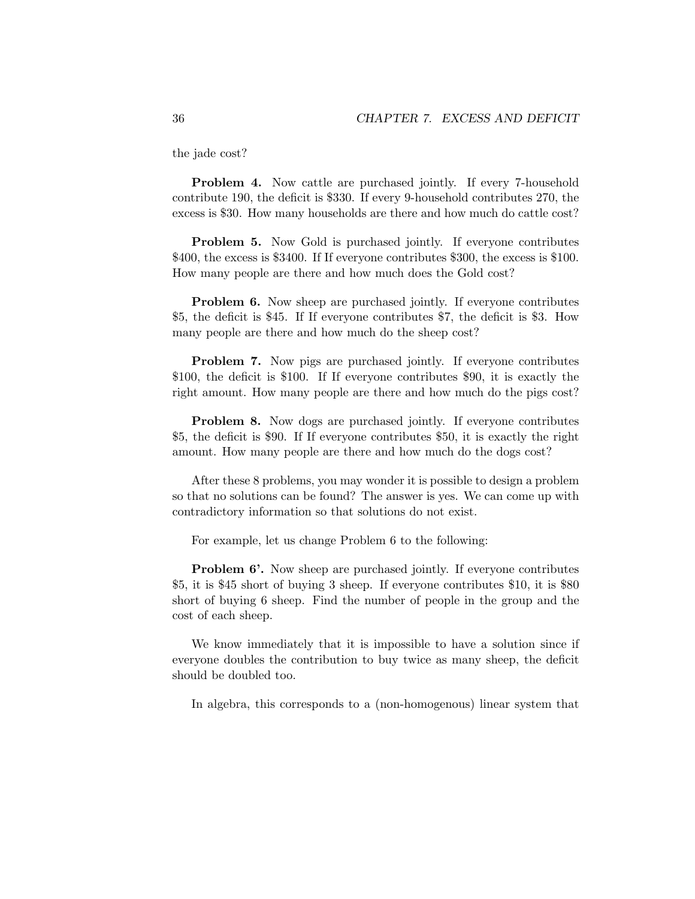the jade cost?

**Problem 4.** Now cattle are purchased jointly. If every 7-household contribute 190, the deficit is \$330. If every 9-household contributes 270, the excess is \$30. How many households are there and how much do cattle cost?

**Problem 5.** Now Gold is purchased jointly. If everyone contributes \$400, the excess is \$3400. If If everyone contributes \$300, the excess is \$100. How many people are there and how much does the Gold cost?

**Problem 6.** Now sheep are purchased jointly. If everyone contributes \$5, the deficit is \$45. If If everyone contributes \$7, the deficit is \$3. How many people are there and how much do the sheep cost?

**Problem 7.** Now pigs are purchased jointly. If everyone contributes \$100, the deficit is \$100. If If everyone contributes \$90, it is exactly the right amount. How many people are there and how much do the pigs cost?

**Problem 8.** Now dogs are purchased jointly. If everyone contributes \$5, the deficit is \$90. If If everyone contributes \$50, it is exactly the right amount. How many people are there and how much do the dogs cost?

After these 8 problems, you may wonder it is possible to design a problem so that no solutions can be found? The answer is yes. We can come up with contradictory information so that solutions do not exist.

For example, let us change Problem 6 to the following:

**Problem 6'.** Now sheep are purchased jointly. If everyone contributes \$5, it is \$45 short of buying 3 sheep. If everyone contributes \$10, it is \$80 short of buying 6 sheep. Find the number of people in the group and the cost of each sheep.

We know immediately that it is impossible to have a solution since if everyone doubles the contribution to buy twice as many sheep, the deficit should be doubled too.

In algebra, this corresponds to a (non-homogenous) linear system that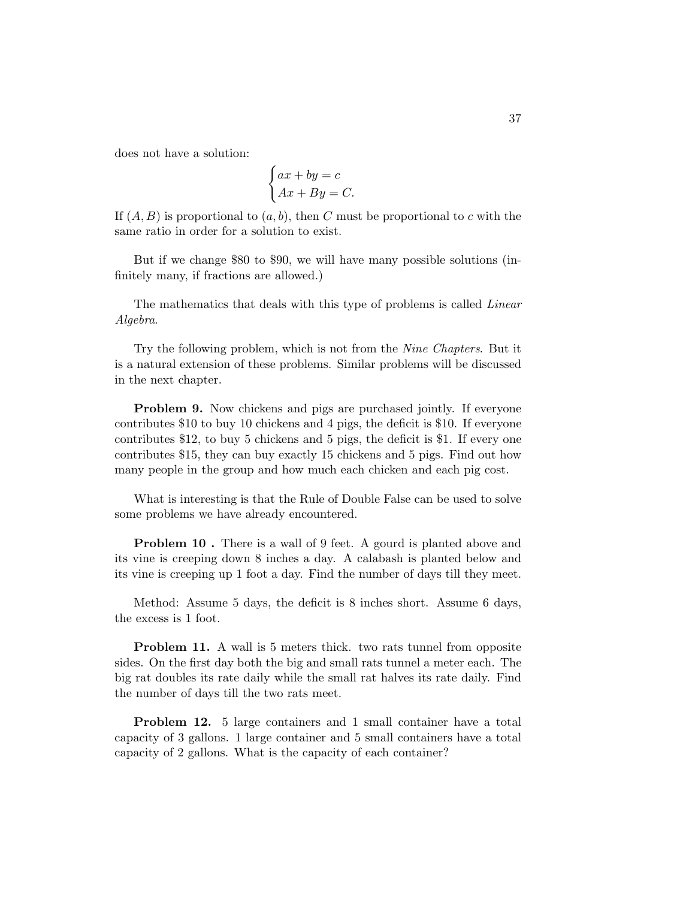does not have a solution:

$$
\begin{cases} ax + by = c \\ Ax + By = C. \end{cases}
$$

If  $(A, B)$  is proportional to  $(a, b)$ , then C must be proportional to c with the same ratio in order for a solution to exist.

But if we change \$80 to \$90, we will have many possible solutions (infinitely many, if fractions are allowed.)

The mathematics that deals with this type of problems is called Linear Algebra.

Try the following problem, which is not from the Nine Chapters. But it is a natural extension of these problems. Similar problems will be discussed in the next chapter.

**Problem 9.** Now chickens and pigs are purchased jointly. If everyone contributes \$10 to buy 10 chickens and 4 pigs, the deficit is \$10. If everyone contributes \$12, to buy 5 chickens and 5 pigs, the deficit is \$1. If every one contributes \$15, they can buy exactly 15 chickens and 5 pigs. Find out how many people in the group and how much each chicken and each pig cost.

What is interesting is that the Rule of Double False can be used to solve some problems we have already encountered.

**Problem 10.** There is a wall of 9 feet. A gourd is planted above and its vine is creeping down 8 inches a day. A calabash is planted below and its vine is creeping up 1 foot a day. Find the number of days till they meet.

Method: Assume 5 days, the deficit is 8 inches short. Assume 6 days, the excess is 1 foot.

**Problem 11.** A wall is 5 meters thick. two rats tunnel from opposite sides. On the first day both the big and small rats tunnel a meter each. The big rat doubles its rate daily while the small rat halves its rate daily. Find the number of days till the two rats meet.

**Problem 12.** 5 large containers and 1 small container have a total capacity of 3 gallons. 1 large container and 5 small containers have a total capacity of 2 gallons. What is the capacity of each container?